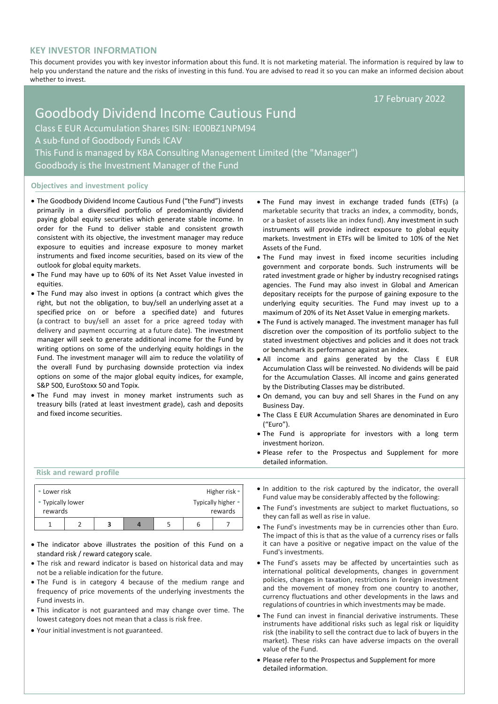## **KEY INVESTOR INFORMATION**

This document provides you with key investor information about this fund. It is not marketing material. The information is required by law to help you understand the nature and the risks of investing in this fund. You are advised to read it so you can make an informed decision about whether to invest.

17 February 2022

# Goodbody Dividend Income Cautious Fund Class E EUR Accumulation Shares ISIN: IE00BZ1NPM94 A sub-fund of Goodbody Funds ICAV This Fund is managed by KBA Consulting Management Limited (the "Manager") Goodbody is the Investment Manager of the Fund

#### **Objectives and investment policy**

- The Goodbody Dividend Income Cautious Fund ("the Fund") invests primarily in a diversified portfolio of predominantly dividend paying global equity securities which generate stable income. In order for the Fund to deliver stable and consistent growth consistent with its objective, the investment manager may reduce exposure to equities and increase exposure to money market instruments and fixed income securities, based on its view of the outlook for global equity markets.
- The Fund may have up to 60% of its Net Asset Value invested in equities.
- The Fund may also invest in options (a contract which gives the right, but not the obligation, to buy/sell an [underlying](https://en.wikipedia.org/wiki/Underlying) [asset](https://en.wikipedia.org/wiki/Asset) at a specified price on or before a specified [date\)](https://en.wikipedia.org/wiki/Expiration_(options)) and futures (a contract to buy/sell an asset for a price agreed today with delivery and payment occurring at a future date). The investment manager will seek to generate additional income for the Fund by writing options on some of the underlying equity holdings in the Fund. The investment manager will aim to reduce the volatility of the overall Fund by purchasing downside protection via index options on some of the major global equity indices, for example, S&P 500, EuroStoxx 50 and Topix.
- The Fund may invest in money market instruments such as treasury bills (rated at least investment grade), cash and deposits and fixed income securities.
- The Fund may invest in exchange traded funds (ETFs) (a marketable security that tracks an index, a commodity, bonds, or a basket of assets like an index fund). Any investment in such instruments will provide indirect exposure to global equity markets. Investment in ETFs will be limited to 10% of the Net Assets of the Fund.
- The Fund may invest in fixed income securities including government and corporate bonds. Such instruments will be rated investment grade or higher by industry recognised ratings agencies. The Fund may also invest in Global and American depositary receipts for the purpose of gaining exposure to the underlying equity securities. The Fund may invest up to a maximum of 20% of its Net Asset Value in emerging markets.
- The Fund is actively managed. The investment manager has full discretion over the composition of its portfolio subject to the stated investment objectives and policies and it does not track or benchmark its performance against an index.
- All income and gains generated by the Class E EUR Accumulation Class will be reinvested. No dividends will be paid for the Accumulation Classes. All income and gains generated by the Distributing Classes may be distributed.
- On demand, you can buy and sell Shares in the Fund on any Business Day.
- The Class E EUR Accumulation Shares are denominated in Euro ("Euro").
- The Fund is appropriate for investors with a long term investment horizon.
- Please refer to the Prospectus and Supplement for more detailed information.

#### **Risk and reward profile**

| • Lower risk      |  |  |  | Higher risk • |                    |
|-------------------|--|--|--|---------------|--------------------|
| • Typically lower |  |  |  |               | Typically higher • |
| rewards           |  |  |  |               | rewards            |
|                   |  |  |  |               |                    |

- The indicator above illustrates the position of this Fund on a standard risk / reward category scale.
- The risk and reward indicator is based on historical data and may not be a reliable indication for the future.
- The Fund is in category 4 because of the medium range and frequency of price movements of the underlying investments the Fund invests in.
- This indicator is not guaranteed and may change over time. The lowest category does not mean that a class is risk free.
- Your initial investment is not guaranteed.
- In addition to the risk captured by the indicator, the overall Fund value may be considerably affected by the following:
- The Fund's investments are subject to market fluctuations, so they can fall as well as rise in value.
- The Fund's investments may be in currencies other than Euro. The impact of this is that as the value of a currency rises or falls it can have a positive or negative impact on the value of the Fund's investments.
- The Fund's assets may be affected by uncertainties such as international political developments, changes in government policies, changes in taxation, restrictions in foreign investment and the movement of money from one country to another, currency fluctuations and other developments in the laws and regulations of countries in which investments may be made.
- The Fund can invest in financial derivative instruments. These instruments have additional risks such as legal risk or liquidity risk (the inability to sell the contract due to lack of buyers in the market). These risks can have adverse impacts on the overall value of the Fund.
- Please refer to the Prospectus and Supplement for more detailed information.